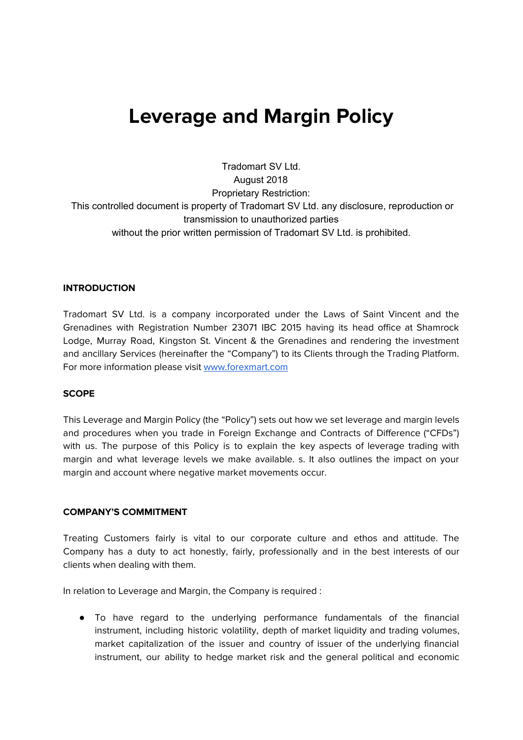# **Leverage and Margin Policy**

Tradomart SV Ltd. August 2018 Proprietary Restriction: This controlled document is property of Tradomart SV Ltd. any disclosure, reproduction or transmission to unauthorized parties without the prior written permission of Tradomart SV Ltd. is prohibited.

#### **INTRODUCTION**

Tradomart SV Ltd. is a company incorporated under the Laws of Saint Vincent and the Grenadines with Registration Number 23071 IBC 2015 having its head office at Shamrock Lodge, Murray Road, Kingston St. Vincent & the Grenadines and rendering the investment and ancillary Services (hereinafter the "Company") to its Clients through the Trading Platform. For more information please visit [www.forexmart.com](http://www.forexmart.com/)

#### **SCOPE**

This Leverage and Margin Policy (the "Policy") sets out how we set leverage and margin levels and procedures when you trade in Foreign Exchange and Contracts of Difference ("CFDs") with us. The purpose of this Policy is to explain the key aspects of leverage trading with margin and what leverage levels we make available. s. It also outlines the impact on your margin and account where negative market movements occur.

#### **COMPANY'S COMMITMENT**

Treating Customers fairly is vital to our corporate culture and ethos and attitude. The Company has a duty to act honestly, fairly, professionally and in the best interests of our clients when dealing with them.

In relation to Leverage and Margin, the Company is required :

● To have regard to the underlying performance fundamentals of the financial instrument, including historic volatility, depth of market liquidity and trading volumes, market capitalization of the issuer and country of issuer of the underlying financial instrument, our ability to hedge market risk and the general political and economic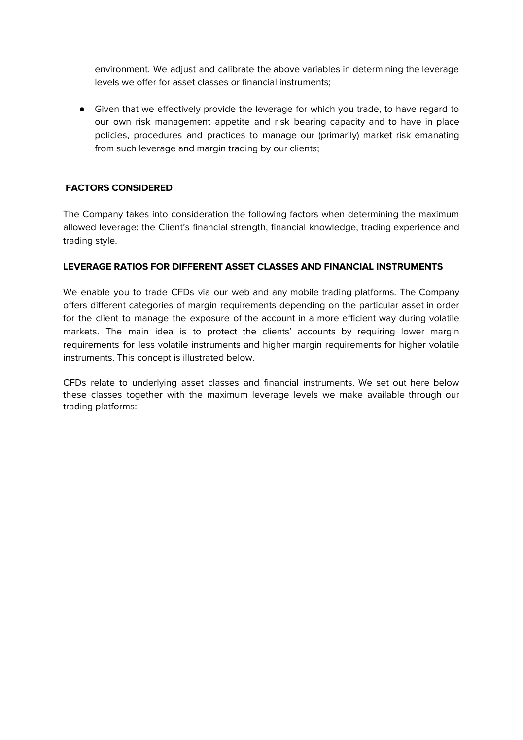environment. We adjust and calibrate the above variables in determining the leverage levels we offer for asset classes or financial instruments;

● Given that we effectively provide the leverage for which you trade, to have regard to our own risk management appetite and risk bearing capacity and to have in place policies, procedures and practices to manage our (primarily) market risk emanating from such leverage and margin trading by our clients;

## **FACTORS CONSIDERED**

The Company takes into consideration the following factors when determining the maximum allowed leverage: the Client's financial strength, financial knowledge, trading experience and trading style.

## **LEVERAGE RATIOS FOR DIFFERENT ASSET CLASSES AND FINANCIAL INSTRUMENTS**

We enable you to trade CFDs via our web and any mobile trading platforms. The Company offers different categories of margin requirements depending on the particular asset in order for the client to manage the exposure of the account in a more efficient way during volatile markets. The main idea is to protect the clients' accounts by requiring lower margin requirements for less volatile instruments and higher margin requirements for higher volatile instruments. This concept is illustrated below.

CFDs relate to underlying asset classes and financial instruments. We set out here below these classes together with the maximum leverage levels we make available through our trading platforms: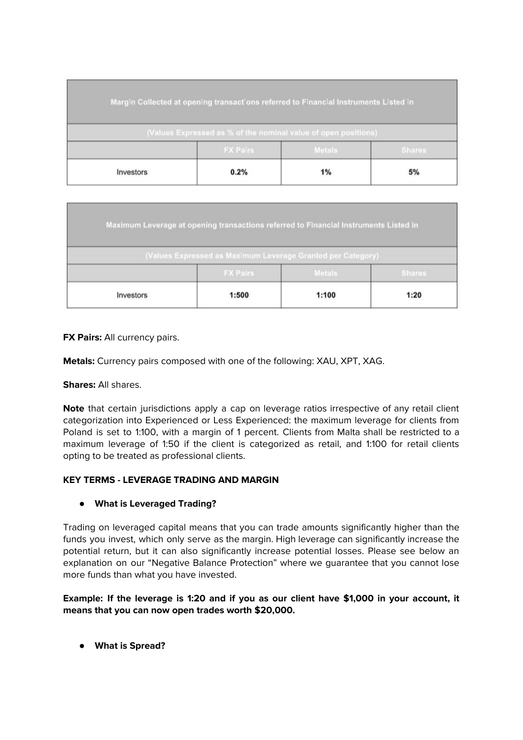|           |                 | Margin Collected at opening transactions referred to Financial Instruments Listed in |               |
|-----------|-----------------|--------------------------------------------------------------------------------------|---------------|
|           |                 | (Values Expressed as % of the nominal value of open positions)                       |               |
|           | <b>FX Pairs</b> | <b>Metals</b>                                                                        | <b>Shares</b> |
| Investors | 0.2%            | 1%                                                                                   | 5%            |

|           | Maximum Leverage at opening transactions referred to Financial Instruments Listed in |               |               |
|-----------|--------------------------------------------------------------------------------------|---------------|---------------|
|           | (Values Expressed as Maximum Leverage Granted per Category)                          |               |               |
|           | <b>FX Pairs</b>                                                                      | <b>Metals</b> | <b>Shares</b> |
| Investors | 1:500                                                                                | 1:100         | 1:20          |

**FX Pairs:** All currency pairs.

**Metals:** Currency pairs composed with one of the following: XAU, XPT, XAG.

**Shares:** All shares.

**Note** that certain jurisdictions apply a cap on leverage ratios irrespective of any retail client categorization into Experienced or Less Experienced: the maximum leverage for clients from Poland is set to 1:100, with a margin of 1 percent. Clients from Malta shall be restricted to a maximum leverage of 1:50 if the client is categorized as retail, and 1:100 for retail clients opting to be treated as professional clients.

## **KEY TERMS - LEVERAGE TRADING AND MARGIN**

#### **● What is Leveraged Trading?**

Trading on leveraged capital means that you can trade amounts significantly higher than the funds you invest, which only serve as the margin. High leverage can significantly increase the potential return, but it can also significantly increase potential losses. Please see below an explanation on our "Negative Balance Protection" where we guarantee that you cannot lose more funds than what you have invested.

**Example: If the leverage is 1:20 and if you as our client have \$1,000 in your account, it means that you can now open trades worth \$20,000.**

**● What is Spread?**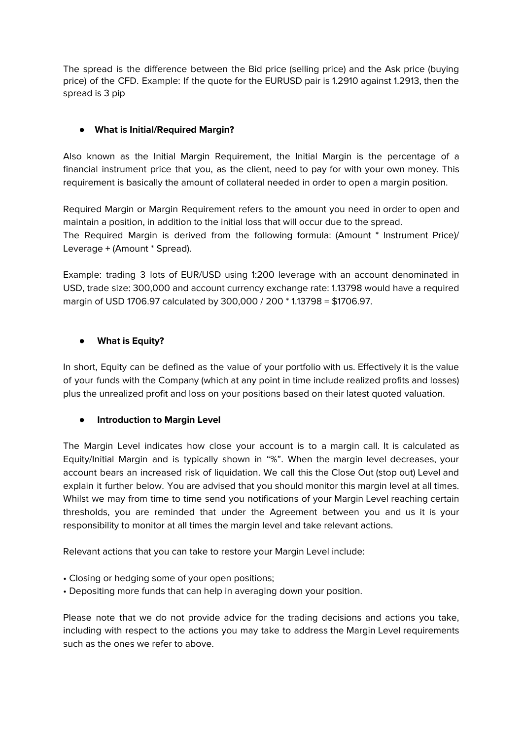The spread is the difference between the Bid price (selling price) and the Ask price (buying price) of the CFD. Example: If the quote for the EURUSD pair is 1.2910 against 1.2913, then the spread is 3 pip

# **● What is Initial/Required Margin?**

Also known as the Initial Margin Requirement, the Initial Margin is the percentage of a financial instrument price that you, as the client, need to pay for with your own money. This requirement is basically the amount of collateral needed in order to open a margin position.

Required Margin or Margin Requirement refers to the amount you need in order to open and maintain a position, in addition to the initial loss that will occur due to the spread. The Required Margin is derived from the following formula: (Amount \* Instrument Price)/ Leverage + (Amount \* Spread).

Example: trading 3 lots of EUR/USD using 1:200 leverage with an account denominated in USD, trade size: 300,000 and account currency exchange rate: 1.13798 would have a required margin of USD 1706.97 calculated by 300,000 / 200 \* 1.13798 = \$1706.97.

## **● What is Equity?**

In short, Equity can be defined as the value of your portfolio with us. Effectively it is the value of your funds with the Company (which at any point in time include realized profits and losses) plus the unrealized profit and loss on your positions based on their latest quoted valuation.

## **● Introduction to Margin Level**

The Margin Level indicates how close your account is to a margin call. It is calculated as Equity/Initial Margin and is typically shown in "%". When the margin level decreases, your account bears an increased risk of liquidation. We call this the Close Out (stop out) Level and explain it further below. You are advised that you should monitor this margin level at all times. Whilst we may from time to time send you notifications of your Margin Level reaching certain thresholds, you are reminded that under the Agreement between you and us it is your responsibility to monitor at all times the margin level and take relevant actions.

Relevant actions that you can take to restore your Margin Level include:

- Closing or hedging some of your open positions;
- Depositing more funds that can help in averaging down your position.

Please note that we do not provide advice for the trading decisions and actions you take, including with respect to the actions you may take to address the Margin Level requirements such as the ones we refer to above.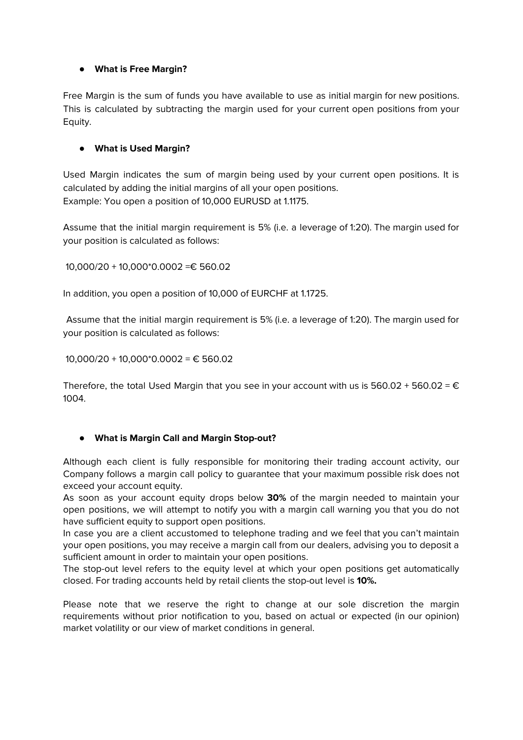## **● What is Free Margin?**

Free Margin is the sum of funds you have available to use as initial margin for new positions. This is calculated by subtracting the margin used for your current open positions from your Equity.

# **● What is Used Margin?**

Used Margin indicates the sum of margin being used by your current open positions. It is calculated by adding the initial margins of all your open positions. Example: You open a position of 10,000 EURUSD at 1.1175.

Assume that the initial margin requirement is 5% (i.e. a leverage of 1:20). The margin used for your position is calculated as follows:

10,000/20 + 10,000\*0.0002 =€ 560.02

In addition, you open a position of 10,000 of EURCHF at 1.1725.

Assume that the initial margin requirement is 5% (i.e. a leverage of 1:20). The margin used for your position is calculated as follows:

10,000/20 + 10,000\*0.0002 = € 560.02

Therefore, the total Used Margin that you see in your account with us is  $560.02 + 560.02 = \epsilon$ 1004.

## **● What is Margin Call and Margin Stop-out?**

Although each client is fully responsible for monitoring their trading account activity, our Company follows a margin call policy to guarantee that your maximum possible risk does not exceed your account equity.

As soon as your account equity drops below **30%** of the margin needed to maintain your open positions, we will attempt to notify you with a margin call warning you that you do not have sufficient equity to support open positions.

In case you are a client accustomed to telephone trading and we feel that you can't maintain your open positions, you may receive a margin call from our dealers, advising you to deposit a sufficient amount in order to maintain your open positions.

The stop-out level refers to the equity level at which your open positions get automatically closed. For trading accounts held by retail clients the stop-out level is **10%.**

Please note that we reserve the right to change at our sole discretion the margin requirements without prior notification to you, based on actual or expected (in our opinion) market volatility or our view of market conditions in general.